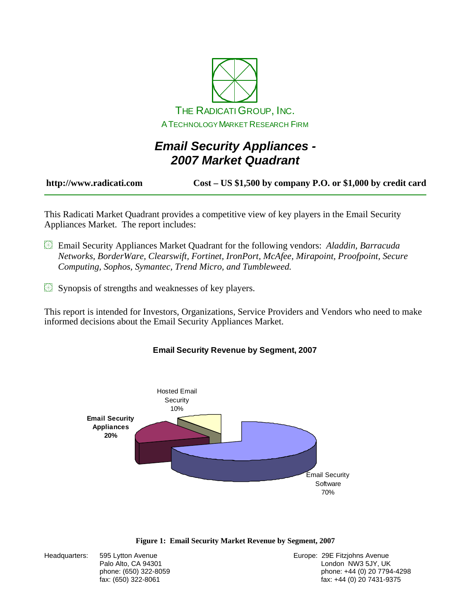

# *Email Security Appliances - 2007 Market Quadrant*

**http://www.radicati.com Cost – US \$1,500 by company P.O. or \$1,000 by credit card** 

This Radicati Market Quadrant provides a competitive view of key players in the Email Security Appliances Market. The report includes:

- Email Security Appliances Market Quadrant for the following vendors: *Aladdin, Barracuda Networks, BorderWare, Clearswift, Fortinet, IronPort, McAfee, Mirapoint, Proofpoint, Secure Computing, Sophos, Symantec, Trend Micro, and Tumbleweed.*
- Synopsis of strengths and weaknesses of key players.

This report is intended for Investors, Organizations, Service Providers and Vendors who need to make informed decisions about the Email Security Appliances Market.

## **Email Security Revenue by Segment, 2007**





| Headquarters: | 595 Lytton Avenue     |
|---------------|-----------------------|
|               | Palo Alto, CA 94301   |
|               | phone: (650) 322-8059 |
|               | fax: (650) 322-8061   |

Europe: 29E Fitzjohns Avenue London NW3 5JY, UK phone: +44 (0) 20 7794-4298 fax: +44 (0) 20 7431-9375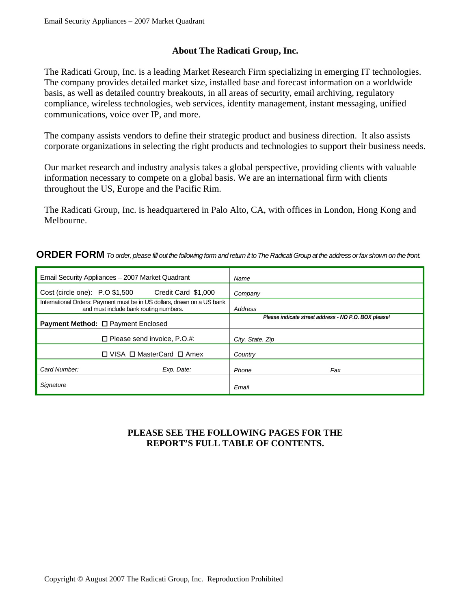## **About The Radicati Group, Inc.**

The Radicati Group, Inc. is a leading Market Research Firm specializing in emerging IT technologies. The company provides detailed market size, installed base and forecast information on a worldwide basis, as well as detailed country breakouts, in all areas of security, email archiving, regulatory compliance, wireless technologies, web services, identity management, instant messaging, unified communications, voice over IP, and more.

The company assists vendors to define their strategic product and business direction. It also assists corporate organizations in selecting the right products and technologies to support their business needs.

Our market research and industry analysis takes a global perspective, providing clients with valuable information necessary to compete on a global basis. We are an international firm with clients throughout the US, Europe and the Pacific Rim.

The Radicati Group, Inc. is headquartered in Palo Alto, CA, with offices in London, Hong Kong and Melbourne.

#### **ORDER FORM** *To order, please fill out the following form and return it to The Radicati Group at the address or fax shown on the front.*

| Email Security Appliances - 2007 Market Quadrant                                                                  | Name                                                 |
|-------------------------------------------------------------------------------------------------------------------|------------------------------------------------------|
| Credit Card \$1,000<br>Cost (circle one): $P.O$ \$1,500                                                           | Company                                              |
| International Orders: Payment must be in US dollars, drawn on a US bank<br>and must include bank routing numbers. | Address                                              |
| <b>Payment Method: □ Payment Enclosed</b>                                                                         | Please indicate street address - NO P.O. BOX please! |
| $\Box$ Please send invoice, P.O.#:                                                                                | City, State, Zip                                     |
| $\Box$ VISA $\Box$ MasterCard $\Box$ Amex                                                                         | Country                                              |
| Card Number:<br>Exp. Date:                                                                                        | Phone<br>Fax                                         |
| Signature                                                                                                         | Email                                                |

## **PLEASE SEE THE FOLLOWING PAGES FOR THE REPORT'S FULL TABLE OF CONTENTS.**